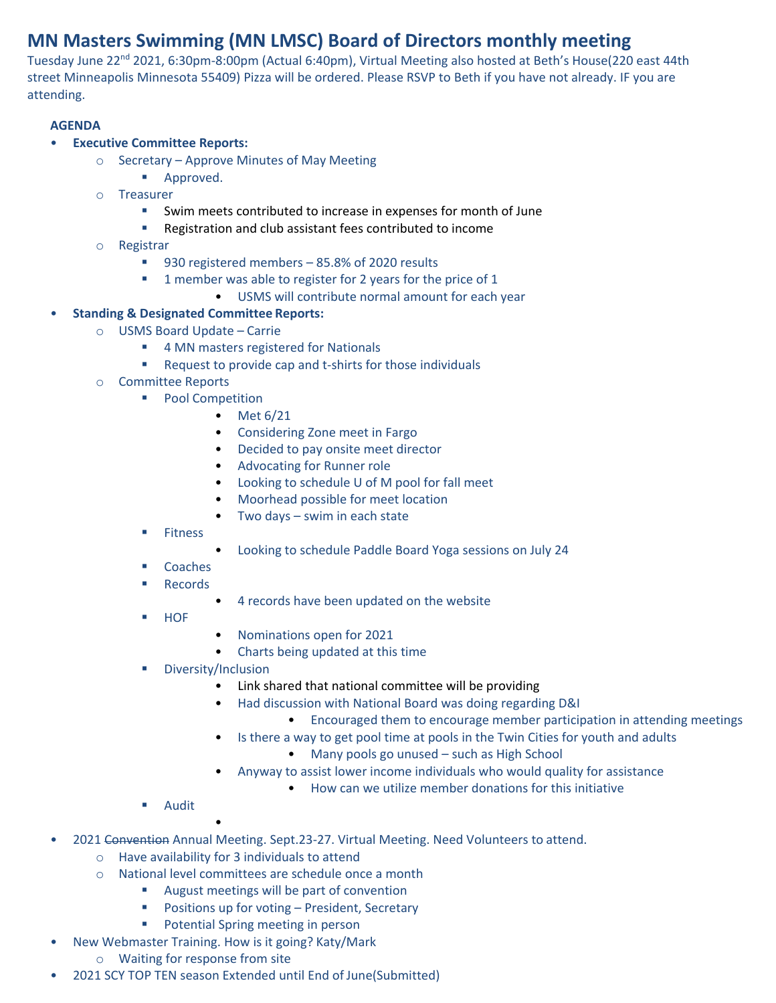# **MN Masters Swimming (MN LMSC) Board of Directors monthly meeting**

Tuesday June 22<sup>nd</sup> 2021, 6:30pm-8:00pm (Actual 6:40pm), Virtual Meeting also hosted at Beth's House(220 east 44th street Minneapolis Minnesota 55409) Pizza will be ordered. Please RSVP to Beth if you have not already. IF you are attending.

## **AGENDA**

#### • **Executive Committee Reports:**

- o Secretary Approve Minutes of May Meeting
	- Approved.
- o Treasurer
	- Swim meets contributed to increase in expenses for month of June
	- Registration and club assistant fees contributed to income
- o Registrar
	- 930 registered members 85.8% of 2020 results
	- 1 member was able to register for 2 years for the price of 1
		- USMS will contribute normal amount for each year

## • **Standing & Designated Committee Reports:**

- o USMS Board Update Carrie
	- 4 MN masters registered for Nationals
	- Request to provide cap and t-shirts for those individuals
- o Committee Reports
	- Pool Competition
		- Met 6/21
		- Considering Zone meet in Fargo
		- Decided to pay onsite meet director
		- Advocating for Runner role
		- Looking to schedule U of M pool for fall meet
		- Moorhead possible for meet location
		- Two days swim in each state
	- Fitness
- Looking to schedule Paddle Board Yoga sessions on July 24
- Coaches
- Records
	- 4 records have been updated on the website
- **HOF**
- Nominations open for 2021
- Charts being updated at this time
- Diversity/Inclusion
	- Link shared that national committee will be providing
		- Had discussion with National Board was doing regarding D&I
			- Encouraged them to encourage member participation in attending meetings
	- Is there a way to get pool time at pools in the Twin Cities for youth and adults
		- Many pools go unused such as High School
		- Anyway to assist lower income individuals who would quality for assistance
			- How can we utilize member donations for this initiative
- Audit
- 2021 Convention Annual Meeting. Sept.23-27. Virtual Meeting. Need Volunteers to attend.
	- o Have availability for 3 individuals to attend

•

- o National level committees are schedule once a month
	- August meetings will be part of convention
	- Positions up for voting President, Secretary
	- Potential Spring meeting in person
- New Webmaster Training. How is it going? Katy/Mark
	- o Waiting for response from site
- 2021 SCY TOP TEN season Extended until End of June(Submitted)